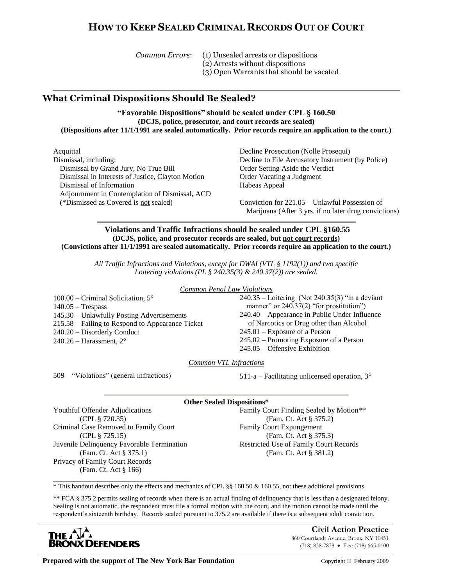# **HOW TO KEEP SEALED CRIMINAL RECORDS OUT OF COURT**

*Common Errors*: (1) Unsealed arrests or dispositions (2) Arrests without dispositions (3) Open Warrants that should be vacated

## **What Criminal Dispositions Should Be Sealed?**

**"Favorable Dispositions" should be sealed under CPL § 160.50 (DCJS, police, prosecutor, and court records are sealed) (Dispositions after 11/1/1991 are sealed automatically. Prior records require an application to the court.)**

Acquittal Dismissal, including: Dismissal by Grand Jury, No True Bill Dismissal in Interests of Justice, Clayton Motion Dismissal of Information Adjournment in Contemplation of Dismissal, ACD (\*Dismissed as Covered is not sealed)

Decline Prosecution (Nolle Prosequi) Decline to File Accusatory Instrument (by Police) Order Setting Aside the Verdict Order Vacating a Judgment Habeas Appeal

Conviction for 221.05 – Unlawful Possession of Marijuana (After 3 yrs. if no later drug convictions)

### **Violations and Traffic Infractions should be sealed under CPL §160.55 (DCJS, police, and prosecutor records are sealed, but not court records) (Convictions after 11/1/1991 are sealed automatically. Prior records require an application to the court.)**

*All Traffic Infractions and Violations, except for DWAI (VTL § 1192(1)) and two specific Loitering violations (PL § 240.35(3) & 240.37(2)) are sealed.*

*Common Penal Law Violations*

 $100.00$  – Criminal Solicitation,  $5^{\circ}$ 140.05 – Trespass 145.30 – Unlawfully Posting Advertisements 215.58 – Failing to Respond to Appearance Ticket 240.20 – Disorderly Conduct  $240.26$  – Harassment,  $2^{\circ}$ 

240.35 – Loitering (Not 240.35(3) "in a deviant manner" or 240.37(2) "for prostitution" 240.40 – Appearance in Public Under Influence of Narcotics or Drug other than Alcohol 245.01 – Exposure of a Person 245.02 – Promoting Exposure of a Person 245.05 – Offensive Exhibition

*Common VTL Infractions*

509 – "Violations" (general infractions) 511-a – Facilitating unlicensed operation, 3°

### **Other Sealed Dispositions\***

Youthful Offender Adjudications (CPL § 720.35) Criminal Case Removed to Family Court (CPL § 725.15) Juvenile Delinquency Favorable Termination (Fam. Ct. Act § 375.1) Privacy of Family Court Records (Fam. Ct. Act § 166)

\_\_\_\_\_\_\_\_\_\_\_\_\_\_\_\_\_\_\_\_\_\_\_\_\_\_\_\_\_\_\_\_\_\_\_\_\_

Family Court Finding Sealed by Motion\*\* (Fam. Ct. Act § 375.2) Family Court Expungement (Fam. Ct. Act § 375.3) Restricted Use of Family Court Records (Fam. Ct. Act § 381.2)

\* This handout describes only the effects and mechanics of CPL §§ 160.50 & 160.55, not these additional provisions.

\*\* FCA § 375.2 permits sealing of records when there is an actual finding of delinquency that is less than a designated felony. Sealing is not automatic, the respondent must file a formal motion with the court, and the motion cannot be made until the respondent's sixteenth birthday. Records sealed pursuant to 375.2 are available if there is a subsequent adult conviction.



**Civil Action Practice** 860 Courtlandt Avenue, Bronx, NY 10451 (718) 838-7878 Fax: (718) 665-0100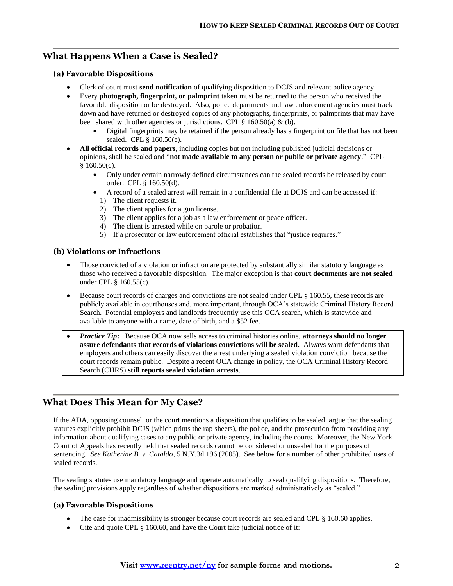## **What Happens When a Case is Sealed?**

### **(a) Favorable Dispositions**

- Clerk of court must **send notification** of qualifying disposition to DCJS and relevant police agency.
- Every **photograph, fingerprint, or palmprint** taken must be returned to the person who received the favorable disposition or be destroyed. Also, police departments and law enforcement agencies must track down and have returned or destroyed copies of any photographs, fingerprints, or palmprints that may have been shared with other agencies or jurisdictions. CPL  $\S$  160.50(a) & (b).
	- Digital fingerprints may be retained if the person already has a fingerprint on file that has not been sealed. CPL § 160.50(e).
- **All official records and papers**, including copies but not including published judicial decisions or opinions, shall be sealed and "**not made available to any person or public or private agency**." CPL § 160.50(c).
	- Only under certain narrowly defined circumstances can the sealed records be released by court order. CPL § 160.50(d).
	- A record of a sealed arrest will remain in a confidential file at DCJS and can be accessed if:
		- 1) The client requests it.
		- 2) The client applies for a gun license.
		- 3) The client applies for a job as a law enforcement or peace officer.
		- 4) The client is arrested while on parole or probation.
		- 5) If a prosecutor or law enforcement official establishes that "justice requires."

#### **(b) Violations or Infractions**

- Those convicted of a violation or infraction are protected by substantially similar statutory language as those who received a favorable disposition. The major exception is that **court documents are not sealed** under CPL § 160.55(c).
- Because court records of charges and convictions are not sealed under CPL § 160.55, these records are publicly available in courthouses and, more important, through OCA's statewide Criminal History Record Search. Potential employers and landlords frequently use this OCA search, which is statewide and available to anyone with a name, date of birth, and a \$52 fee.
- *Practice Tip***:** Because OCA now sells access to criminal histories online, **attorneys should no longer assure defendants that records of violations convictions will be sealed.** Always warn defendants that employers and others can easily discover the arrest underlying a sealed violation conviction because the court records remain public. Despite a recent OCA change in policy, the OCA Criminal History Record Search (CHRS) **still reports sealed violation arrests**.

### **What Does This Mean for My Case?**

If the ADA, opposing counsel, or the court mentions a disposition that qualifies to be sealed, argue that the sealing statutes explicitly prohibit DCJS (which prints the rap sheets), the police, and the prosecution from providing any information about qualifying cases to any public or private agency, including the courts. Moreover, the New York Court of Appeals has recently held that sealed records cannot be considered or unsealed for the purposes of sentencing. *See Katherine B. v. Cataldo*, 5 N.Y.3d 196 (2005). See below for a number of other prohibited uses of sealed records.

The sealing statutes use mandatory language and operate automatically to seal qualifying dispositions. Therefore, the sealing provisions apply regardless of whether dispositions are marked administratively as "sealed."

### **(a) Favorable Dispositions**

- The case for inadmissibility is stronger because court records are sealed and CPL § 160.60 applies.
- Cite and quote CPL § 160.60, and have the Court take judicial notice of it: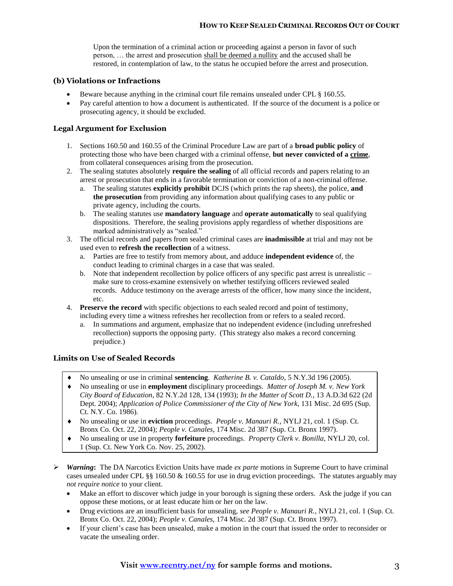Upon the termination of a criminal action or proceeding against a person in favor of such person, … the arrest and prosecution shall be deemed a nullity and the accused shall be restored, in contemplation of law, to the status he occupied before the arrest and prosecution.

### **(b) Violations or Infractions**

- Beware because anything in the criminal court file remains unsealed under CPL § 160.55.
- Pay careful attention to how a document is authenticated. If the source of the document is a police or prosecuting agency, it should be excluded.

### **Legal Argument for Exclusion**

- 1. Sections 160.50 and 160.55 of the Criminal Procedure Law are part of a **broad public policy** of protecting those who have been charged with a criminal offense, **but never convicted of a crime**, from collateral consequences arising from the prosecution.
- 2. The sealing statutes absolutely **require the sealing** of all official records and papers relating to an arrest or prosecution that ends in a favorable termination or conviction of a non-criminal offense.
	- a. The sealing statutes **explicitly prohibit** DCJS (which prints the rap sheets), the police, **and the prosecution** from providing any information about qualifying cases to any public or private agency, including the courts.
	- b. The sealing statutes use **mandatory language** and **operate automatically** to seal qualifying dispositions. Therefore, the sealing provisions apply regardless of whether dispositions are marked administratively as "sealed."
- 3. The official records and papers from sealed criminal cases are **inadmissible** at trial and may not be used even to **refresh the recollection** of a witness.
	- a. Parties are free to testify from memory about, and adduce **independent evidence** of, the conduct leading to criminal charges in a case that was sealed.
	- b. Note that independent recollection by police officers of any specific past arrest is unrealistic make sure to cross-examine extensively on whether testifying officers reviewed sealed records. Adduce testimony on the average arrests of the officer, how many since the incident, etc.
- 4. **Preserve the record** with specific objections to each sealed record and point of testimony, including every time a witness refreshes her recollection from or refers to a sealed record.
	- a. In summations and argument, emphasize that no independent evidence (including unrefreshed recollection) supports the opposing party. (This strategy also makes a record concerning prejudice.)

### **Limits on Use of Sealed Records**

- No unsealing or use in criminal **sentencing**. *Katherine B. v. Cataldo*, 5 N.Y.3d 196 (2005).
- No unsealing or use in **employment** disciplinary proceedings. *Matter of Joseph M. v. New York City Board of Education*, 82 N.Y.2d 128, 134 (1993); *In the Matter of Scott D.*, 13 A.D.3d 622 (2d Dept. 2004); *Application of Police Commissioner of the City of New York*, 131 Misc. 2d 695 (Sup. Ct. N.Y. Co. 1986).
- No unsealing or use in **eviction** proceedings. *People v. Manauri R.*, NYLJ 21, col. 1 (Sup. Ct. Bronx Co. Oct. 22, 2004); *People v. Canales*, 174 Misc. 2d 387 (Sup. Ct. Bronx 1997).
- No unsealing or use in property **forfeiture** proceedings. *Property Clerk v. Bonilla*, NYLJ 20, col. 1 (Sup. Ct. New York Co. Nov. 25, 2002).
- *Warning***:** The DA Narcotics Eviction Units have made *ex parte* motions in Supreme Court to have criminal cases unsealed under CPL §§ 160.50 & 160.55 for use in drug eviction proceedings. The statutes arguably may *not require notice* to your client.
	- Make an effort to discover which judge in your borough is signing these orders. Ask the judge if you can oppose these motions, or at least educate him or her on the law.
	- Drug evictions are an insufficient basis for unsealing, *see People v. Manauri R.*, NYLJ 21, col. 1 (Sup. Ct. Bronx Co. Oct. 22, 2004); *People v. Canales*, 174 Misc. 2d 387 (Sup. Ct. Bronx 1997).
	- If your client's case has been unsealed, make a motion in the court that issued the order to reconsider or vacate the unsealing order.